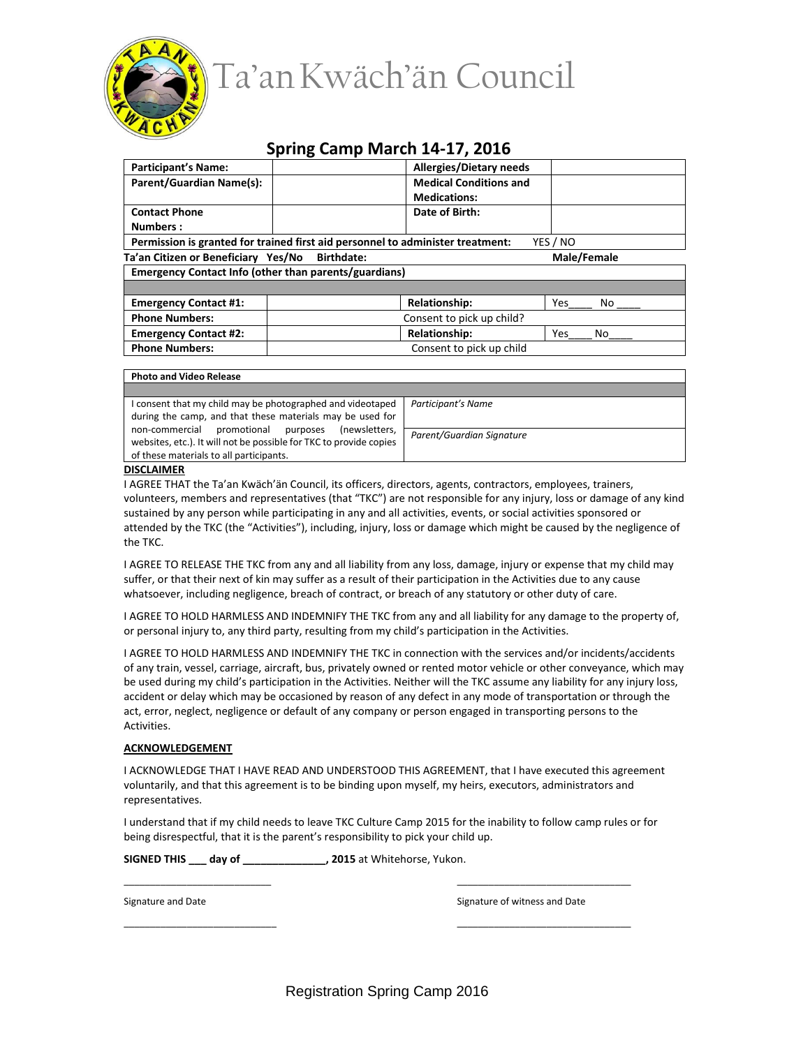

## **Spring Camp March 14-17, 2016**

| <b>Participant's Name:</b>                                                                 | <b>Allergies/Dietary needs</b> |                      |           |  |
|--------------------------------------------------------------------------------------------|--------------------------------|----------------------|-----------|--|
| Parent/Guardian Name(s):                                                                   | <b>Medical Conditions and</b>  |                      |           |  |
|                                                                                            |                                | <b>Medications:</b>  |           |  |
| <b>Contact Phone</b>                                                                       | Date of Birth:                 |                      |           |  |
| Numbers:                                                                                   |                                |                      |           |  |
| Permission is granted for trained first aid personnel to administer treatment:<br>YES / NO |                                |                      |           |  |
| Ta'an Citizen or Beneficiary Yes/No Birthdate:<br>Male/Female                              |                                |                      |           |  |
| Emergency Contact Info (other than parents/guardians)                                      |                                |                      |           |  |
|                                                                                            |                                |                      |           |  |
| <b>Emergency Contact #1:</b>                                                               |                                | <b>Relationship:</b> | Yes<br>No |  |
| <b>Phone Numbers:</b>                                                                      | Consent to pick up child?      |                      |           |  |
| <b>Emergency Contact #2:</b>                                                               |                                | <b>Relationship:</b> | Yes<br>No |  |
| <b>Phone Numbers:</b>                                                                      | Consent to pick up child       |                      |           |  |

## **Photo and Video Release**

I consent that my child may be photographed and videotaped during the camp, and that these materials may be used for non-commercial promotional purposes (newsletters, websites, etc.). It will not be possible for TKC to provide copies of these materials to all participants.

*Parent/Guardian Signature*

*Participant's Name*

## **DISCLAIMER**

I AGREE THAT the Ta'an Kwäch'än Council, its officers, directors, agents, contractors, employees, trainers, volunteers, members and representatives (that "TKC") are not responsible for any injury, loss or damage of any kind sustained by any person while participating in any and all activities, events, or social activities sponsored or attended by the TKC (the "Activities"), including, injury, loss or damage which might be caused by the negligence of the TKC.

I AGREE TO RELEASE THE TKC from any and all liability from any loss, damage, injury or expense that my child may suffer, or that their next of kin may suffer as a result of their participation in the Activities due to any cause whatsoever, including negligence, breach of contract, or breach of any statutory or other duty of care.

I AGREE TO HOLD HARMLESS AND INDEMNIFY THE TKC from any and all liability for any damage to the property of, or personal injury to, any third party, resulting from my child's participation in the Activities.

I AGREE TO HOLD HARMLESS AND INDEMNIFY THE TKC in connection with the services and/or incidents/accidents of any train, vessel, carriage, aircraft, bus, privately owned or rented motor vehicle or other conveyance, which may be used during my child's participation in the Activities. Neither will the TKC assume any liability for any injury loss, accident or delay which may be occasioned by reason of any defect in any mode of transportation or through the act, error, neglect, negligence or default of any company or person engaged in transporting persons to the Activities.

## **ACKNOWLEDGEMENT**

I ACKNOWLEDGE THAT I HAVE READ AND UNDERSTOOD THIS AGREEMENT, that I have executed this agreement voluntarily, and that this agreement is to be binding upon myself, my heirs, executors, administrators and representatives.

I understand that if my child needs to leave TKC Culture Camp 2015 for the inability to follow camp rules or for being disrespectful, that it is the parent's responsibility to pick your child up.

\_\_\_\_\_\_\_\_\_\_\_\_\_\_\_\_\_\_\_\_\_\_\_\_\_\_\_\_ \_\_\_\_\_\_\_\_\_\_\_\_\_\_\_\_\_\_\_\_\_\_\_\_\_\_\_\_\_\_\_\_\_

\_\_\_\_\_\_\_\_\_\_\_\_\_\_\_\_\_\_\_\_\_\_\_\_\_\_\_\_\_ \_\_\_\_\_\_\_\_\_\_\_\_\_\_\_\_\_\_\_\_\_\_\_\_\_\_\_\_\_\_\_\_\_

**SIGNED THIS \_\_\_ day of \_\_\_\_\_\_\_\_\_\_\_\_\_\_, 2015** at Whitehorse, Yukon.

Signature and Date **Signature of witness and Date** Signature of witness and Date